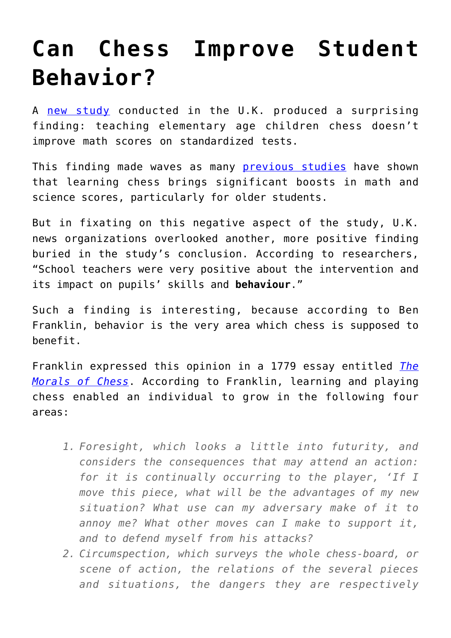## **[Can Chess Improve Student](https://intellectualtakeout.org/2016/07/can-chess-improve-student-behavior/) [Behavior?](https://intellectualtakeout.org/2016/07/can-chess-improve-student-behavior/)**

A [new study](https://educationendowmentfoundation.org.uk/public/files/Projects/EEF_Project_Report_Chess_in_Schools.pdf) conducted in the U.K. produced a surprising finding: teaching elementary age children chess doesn't improve math scores on standardized tests.

This finding made waves as many **[previous studies](http://www.psmcd.net/otherfiles/BenefitsOfChessInEdScreen2.pdf)** have shown that learning chess brings significant boosts in math and science scores, particularly for older students.

But in fixating on this negative aspect of the study, U.K. news organizations overlooked another, more positive finding buried in the study's conclusion. According to researchers, "School teachers were very positive about the intervention and its impact on pupils' skills and **behaviour**."

Such a finding is interesting, because according to Ben Franklin, behavior is the very area which chess is supposed to benefit.

Franklin expressed this opinion in a 1779 essay entitled *[The](http://founders.archives.gov/documents/Franklin/01-29-02-0608#BNFN-01-29-02-0608-fn-0003-ptr) [Morals of Chess](http://founders.archives.gov/documents/Franklin/01-29-02-0608#BNFN-01-29-02-0608-fn-0003-ptr)*. According to Franklin, learning and playing chess enabled an individual to grow in the following four areas:

- *1. Foresight, which looks a little into futurity, and considers the consequences that may attend an action: for it is continually occurring to the player, 'If I move this piece, what will be the advantages of my new situation? What use can my adversary make of it to annoy me? What other moves can I make to support it, and to defend myself from his attacks?*
- *2. Circumspection, which surveys the whole chess-board, or scene of action, the relations of the several pieces and situations, the dangers they are respectively*